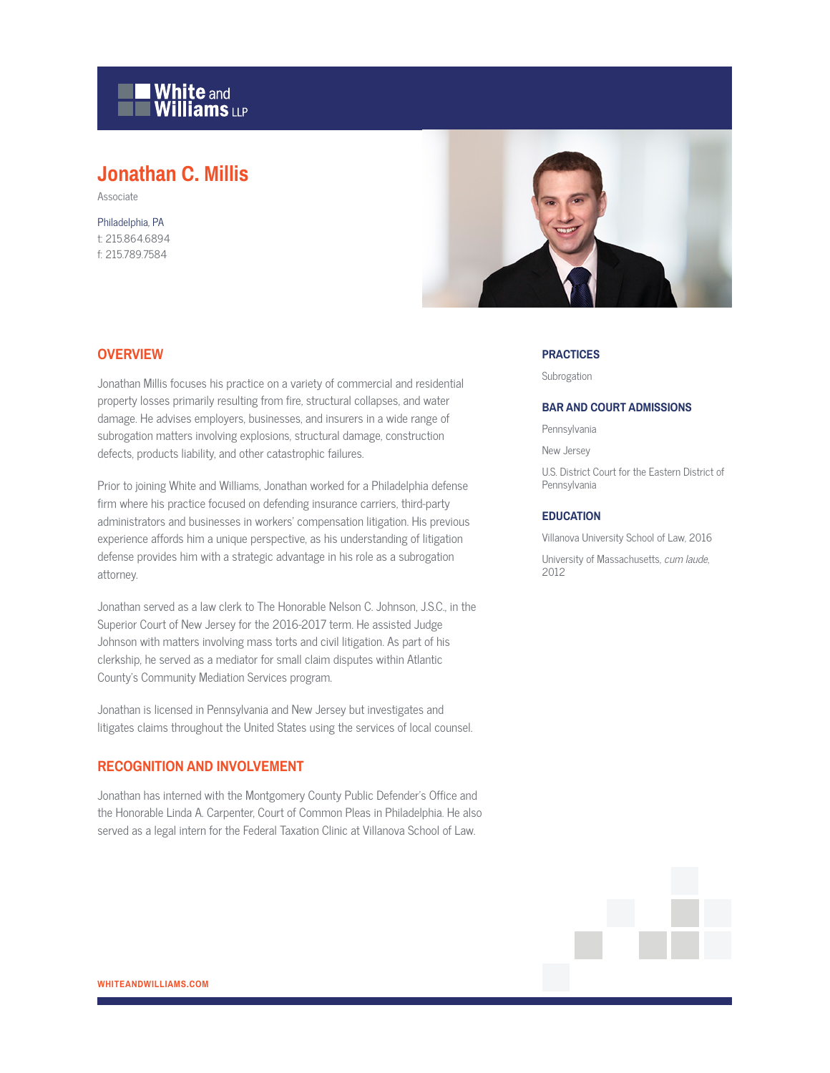

# **Jonathan C. Millis**

Associate

Philadelphia, PA t: 215.864.6894 f: 215.789.7584



## **OVERVIEW**

Jonathan Millis focuses his practice on a variety of commercial and residential property losses primarily resulting from fire, structural collapses, and water damage. He advises employers, businesses, and insurers in a wide range of subrogation matters involving explosions, structural damage, construction defects, products liability, and other catastrophic failures.

Prior to joining White and Williams, Jonathan worked for a Philadelphia defense firm where his practice focused on defending insurance carriers, third-party administrators and businesses in workers' compensation litigation. His previous experience affords him a unique perspective, as his understanding of litigation defense provides him with a strategic advantage in his role as a subrogation attorney.

Jonathan served as a law clerk to The Honorable Nelson C. Johnson, J.S.C., in the Superior Court of New Jersey for the 2016-2017 term. He assisted Judge Johnson with matters involving mass torts and civil litigation. As part of his clerkship, he served as a mediator for small claim disputes within Atlantic County's Community Mediation Services program.

Jonathan is licensed in Pennsylvania and New Jersey but investigates and litigates claims throughout the United States using the services of local counsel.

## **RECOGNITION AND INVOLVEMENT**

Jonathan has interned with the Montgomery County Public Defender's Office and the Honorable Linda A. Carpenter, Court of Common Pleas in Philadelphia. He also served as a legal intern for the Federal Taxation Clinic at Villanova School of Law.

#### **PRACTICES**

Subrogation

#### **BAR AND COURT ADMISSIONS**

Pennsylvania

New Jersey

U.S. District Court for the Eastern District of Pennsylvania

### **EDUCATION**

Villanova University School of Law, 2016

University of Massachusetts, cum laude, 2012